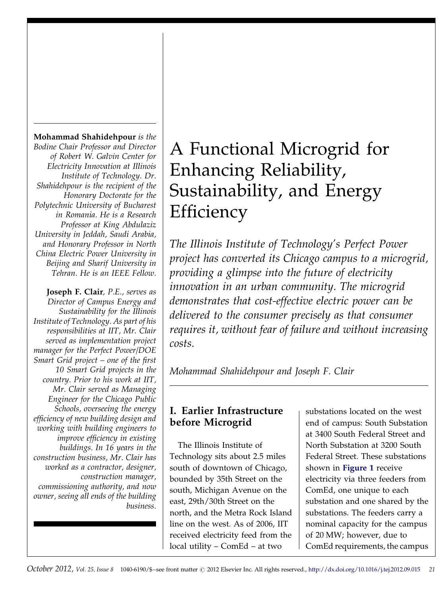Mohammad Shahidehpour is the Bodine Chair Professor and Director of Robert W. Galvin Center for Electricity Innovation at Illinois Institute of Technology. Dr. Shahidehpour is the recipient of the Honorary Doctorate for the Polytechnic University of Bucharest in Romania. He is a Research Professor at King Abdulaziz University in Jeddah, Saudi Arabia, and Honorary Professor in North China Electric Power University in Beijing and Sharif University in Tehran. He is an IEEE Fellow.

Joseph F. Clair, P.E., serves as Director of Campus Energy and Sustainability for the Illinois Institute of Technology. As part of his responsibilities at IIT, Mr. Clair served as implementation project manager for the Perfect Power/DOE Smart Grid project – one of the first 10 Smart Grid projects in the country. Prior to his work at IIT, Mr. Clair served as Managing Engineer for the Chicago Public Schools, overseeing the energy efficiency of new building design and working with building engineers to improve efficiency in existing buildings. In 16 years in the construction business, Mr. Clair has worked as a contractor, designer, construction manager, commissioning authority, and now owner, seeing all ends of the building business.

## A Functional Microgrid for Enhancing Reliability, Sustainability, and Energy **Efficiency**

The Illinois Institute of Technology's Perfect Power project has converted its Chicago campus to a microgrid, providing a glimpse into the future of electricity innovation in an urban community. The microgrid demonstrates that cost-effective electric power can be delivered to the consumer precisely as that consumer requires it, without fear of failure and without increasing costs.

Mohammad Shahidehpour and Joseph F. Clair

## I. Earlier Infrastructure before Microgrid

The Illinois Institute of Technology sits about 2.5 miles south of downtown of Chicago, bounded by 35th Street on the south, Michigan Avenue on the east, 29th/30th Street on the north, and the Metra Rock Island line on the west. As of 2006, IIT received electricity feed from the local utility – ComEd – at two

substations located on the west end of campus: South Substation at 3400 South Federal Street and North Substation at 3200 South Federal Street. These substations shown in **[Figure 1](#page-1-0)** receive electricity via three feeders from ComEd, one unique to each substation and one shared by the substations. The feeders carry a nominal capacity for the campus of 20 MW; however, due to ComEd requirements, the campus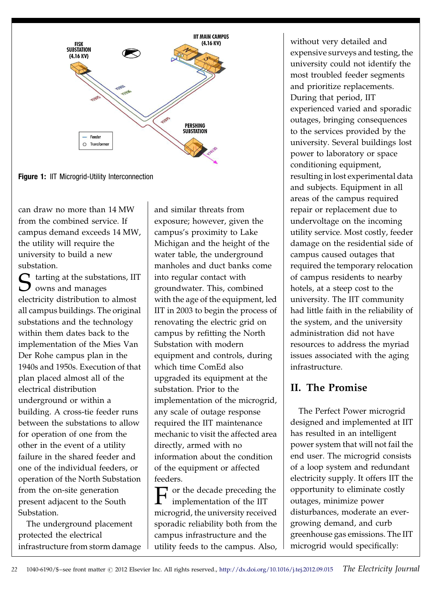<span id="page-1-0"></span>

Figure 1: IIT Microgrid-Utility Interconnection

can draw no more than 14 MW from the combined service. If campus demand exceeds 14 MW, the utility will require the university to build a new substation.

 $\bigcap$  tarting at the substations, IIT  $\bigcup$  owns and manages electricity distribution to almost all campus buildings. The original substations and the technology within them dates back to the implementation of the Mies Van Der Rohe campus plan in the 1940s and 1950s. Execution of that plan placed almost all of the electrical distribution underground or within a building. A cross-tie feeder runs between the substations to allow for operation of one from the other in the event of a utility failure in the shared feeder and one of the individual feeders, or operation of the North Substation from the on-site generation present adjacent to the South Substation.

The underground placement protected the electrical infrastructure from storm damage and similar threats from exposure; however, given the campus's proximity to Lake Michigan and the height of the water table, the underground manholes and duct banks come into regular contact with groundwater. This, combined with the age of the equipment, led IIT in 2003 to begin the process of renovating the electric grid on campus by refitting the North Substation with modern equipment and controls, during which time ComEd also upgraded its equipment at the substation. Prior to the implementation of the microgrid, any scale of outage response required the IIT maintenance mechanic to visit the affected area directly, armed with no information about the condition of the equipment or affected feeders.

F or the decade preceding the implementation of the IIT microgrid, the university received sporadic reliability both from the campus infrastructure and the utility feeds to the campus. Also, without very detailed and expensive surveys and testing, the university could not identify the most troubled feeder segments and prioritize replacements. During that period, IIT experienced varied and sporadic outages, bringing consequences to the services provided by the university. Several buildings lost power to laboratory or space conditioning equipment, resulting in lost experimental data and subjects. Equipment in all areas of the campus required repair or replacement due to undervoltage on the incoming utility service. Most costly, feeder damage on the residential side of campus caused outages that required the temporary relocation of campus residents to nearby hotels, at a steep cost to the university. The IIT community had little faith in the reliability of the system, and the university administration did not have resources to address the myriad issues associated with the aging infrastructure.

## II. The Promise

The Perfect Power microgrid designed and implemented at IIT has resulted in an intelligent power system that will not fail the end user. The microgrid consists of a loop system and redundant electricity supply. It offers IIT the opportunity to eliminate costly outages, minimize power disturbances, moderate an evergrowing demand, and curb greenhouse gas emissions. The IIT microgrid would specifically: